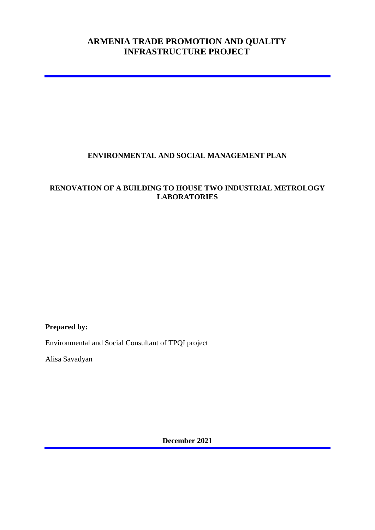## **ARMENIA TRADE PROMOTION AND QUALITY INFRASTRUCTURE PROJECT**

## **ENVIRONMENTAL AND SOCIAL MANAGEMENT PLAN**

## **RENOVATION OF A BUILDING TO HOUSE TWO INDUSTRIAL METROLOGY LABORATORIES**

**Prepared by:**

Environmental and Social Consultant of TPQI project

Alisa Savadyan

**December 2021**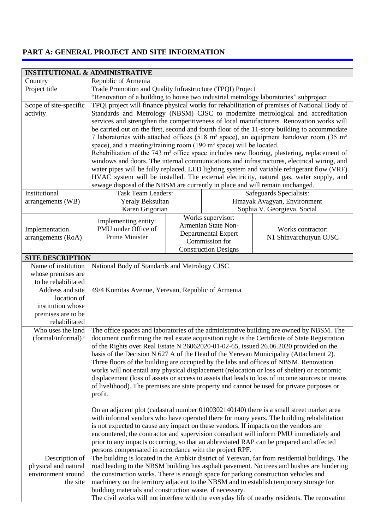## **PART A: GENERAL PROJECT AND SITE INFORMATION**

|                                      | <b>INSTITUTIONAL &amp; ADMINISTRATIVE</b>                                                                                                                                                                                                                                                                                                                                                                                                                                                                                                                                                                                                                                                                                                                                                                                                                                                                                                                                                                                                                            |                                                                                                                  |  |                                                                                                 |  |
|--------------------------------------|----------------------------------------------------------------------------------------------------------------------------------------------------------------------------------------------------------------------------------------------------------------------------------------------------------------------------------------------------------------------------------------------------------------------------------------------------------------------------------------------------------------------------------------------------------------------------------------------------------------------------------------------------------------------------------------------------------------------------------------------------------------------------------------------------------------------------------------------------------------------------------------------------------------------------------------------------------------------------------------------------------------------------------------------------------------------|------------------------------------------------------------------------------------------------------------------|--|-------------------------------------------------------------------------------------------------|--|
| Country                              | Republic of Armenia                                                                                                                                                                                                                                                                                                                                                                                                                                                                                                                                                                                                                                                                                                                                                                                                                                                                                                                                                                                                                                                  |                                                                                                                  |  |                                                                                                 |  |
| Project title                        | Trade Promotion and Quality Infrastructure (TPQI) Project                                                                                                                                                                                                                                                                                                                                                                                                                                                                                                                                                                                                                                                                                                                                                                                                                                                                                                                                                                                                            |                                                                                                                  |  |                                                                                                 |  |
|                                      |                                                                                                                                                                                                                                                                                                                                                                                                                                                                                                                                                                                                                                                                                                                                                                                                                                                                                                                                                                                                                                                                      |                                                                                                                  |  | "Renovation of a building to house two industrial metrology laboratories" subproject            |  |
| Scope of site-specific<br>activity   | TPQI project will finance physical works for rehabilitation of premises of National Body of<br>Standards and Metrology (NBSM) CJSC to modernize metrological and accreditation<br>services and strengthen the competitiveness of local manufacturers. Renovation works will<br>be carried out on the first, second and fourth floor of the 11-story building to accommodate<br>7 laboratories with attached offices (518 m <sup>2</sup> space), an equipment handover room (35 m <sup>2</sup><br>space), and a meeting/training room (190 m <sup>2</sup> space) will be located.<br>Rehabilitation of the 743 m <sup>2</sup> office space includes new flooring, plastering, replacement of<br>windows and doors. The internal communications and infrastructures, electrical wiring, and<br>water pipes will be fully replaced. LED lighting system and variable refrigerant flow (VRF)<br>HVAC system will be installed. The external electricity, natural gas, water supply, and<br>sewage disposal of the NBSM are currently in place and will remain unchanged. |                                                                                                                  |  |                                                                                                 |  |
| Institutional                        | Safeguards Specialists:<br><b>Task Team Leaders:</b>                                                                                                                                                                                                                                                                                                                                                                                                                                                                                                                                                                                                                                                                                                                                                                                                                                                                                                                                                                                                                 |                                                                                                                  |  |                                                                                                 |  |
| arrangements (WB)                    | Yeraly Beksultan                                                                                                                                                                                                                                                                                                                                                                                                                                                                                                                                                                                                                                                                                                                                                                                                                                                                                                                                                                                                                                                     |                                                                                                                  |  | Hmayak Avagyan, Environment                                                                     |  |
|                                      | Karen Grigorian                                                                                                                                                                                                                                                                                                                                                                                                                                                                                                                                                                                                                                                                                                                                                                                                                                                                                                                                                                                                                                                      |                                                                                                                  |  | Sophia V. Georgieva, Social                                                                     |  |
| Implementation<br>arrangements (RoA) | Implementing entity:<br>PMU under Office of<br>Prime Minister                                                                                                                                                                                                                                                                                                                                                                                                                                                                                                                                                                                                                                                                                                                                                                                                                                                                                                                                                                                                        | Works supervisor:<br>Armenian State Non-<br>Departmental Expert<br>Commission for<br><b>Construction Designs</b> |  | Works contractor:<br>N1 Shinvarchutyun OJSC                                                     |  |
|                                      | <b>SITE DESCRIPTION</b>                                                                                                                                                                                                                                                                                                                                                                                                                                                                                                                                                                                                                                                                                                                                                                                                                                                                                                                                                                                                                                              |                                                                                                                  |  |                                                                                                 |  |
| Name of institution                  | National Body of Standards and Metrology CJSC                                                                                                                                                                                                                                                                                                                                                                                                                                                                                                                                                                                                                                                                                                                                                                                                                                                                                                                                                                                                                        |                                                                                                                  |  |                                                                                                 |  |
| whose premises are                   |                                                                                                                                                                                                                                                                                                                                                                                                                                                                                                                                                                                                                                                                                                                                                                                                                                                                                                                                                                                                                                                                      |                                                                                                                  |  |                                                                                                 |  |
| to be rehabilitated                  |                                                                                                                                                                                                                                                                                                                                                                                                                                                                                                                                                                                                                                                                                                                                                                                                                                                                                                                                                                                                                                                                      |                                                                                                                  |  |                                                                                                 |  |
| Address and site<br>location of      | 49/4 Komitas Avenue, Yerevan, Republic of Armenia                                                                                                                                                                                                                                                                                                                                                                                                                                                                                                                                                                                                                                                                                                                                                                                                                                                                                                                                                                                                                    |                                                                                                                  |  |                                                                                                 |  |
| institution whose                    |                                                                                                                                                                                                                                                                                                                                                                                                                                                                                                                                                                                                                                                                                                                                                                                                                                                                                                                                                                                                                                                                      |                                                                                                                  |  |                                                                                                 |  |
| premises are to be                   |                                                                                                                                                                                                                                                                                                                                                                                                                                                                                                                                                                                                                                                                                                                                                                                                                                                                                                                                                                                                                                                                      |                                                                                                                  |  |                                                                                                 |  |
| rehabilitated                        |                                                                                                                                                                                                                                                                                                                                                                                                                                                                                                                                                                                                                                                                                                                                                                                                                                                                                                                                                                                                                                                                      |                                                                                                                  |  |                                                                                                 |  |
| Who uses the land                    |                                                                                                                                                                                                                                                                                                                                                                                                                                                                                                                                                                                                                                                                                                                                                                                                                                                                                                                                                                                                                                                                      |                                                                                                                  |  | The office spaces and laboratories of the administrative building are owned by NBSM. The        |  |
| (formal/informal)?                   |                                                                                                                                                                                                                                                                                                                                                                                                                                                                                                                                                                                                                                                                                                                                                                                                                                                                                                                                                                                                                                                                      |                                                                                                                  |  | document confirming the real estate acquisition right is the Certificate of State Registration  |  |
|                                      |                                                                                                                                                                                                                                                                                                                                                                                                                                                                                                                                                                                                                                                                                                                                                                                                                                                                                                                                                                                                                                                                      |                                                                                                                  |  | of the Rights over Real Estate N $26062020-01-02-65$ , issued $26.06.2020$ provided on the      |  |
|                                      |                                                                                                                                                                                                                                                                                                                                                                                                                                                                                                                                                                                                                                                                                                                                                                                                                                                                                                                                                                                                                                                                      |                                                                                                                  |  | basis of the Decision N 627 A of the Head of the Yerevan Municipality (Attachment 2).           |  |
|                                      |                                                                                                                                                                                                                                                                                                                                                                                                                                                                                                                                                                                                                                                                                                                                                                                                                                                                                                                                                                                                                                                                      |                                                                                                                  |  | Three floors of the building are occupied by the labs and offices of NBSM. Renovation           |  |
|                                      |                                                                                                                                                                                                                                                                                                                                                                                                                                                                                                                                                                                                                                                                                                                                                                                                                                                                                                                                                                                                                                                                      |                                                                                                                  |  | works will not entail any physical displacement (relocation or loss of shelter) or economic     |  |
|                                      |                                                                                                                                                                                                                                                                                                                                                                                                                                                                                                                                                                                                                                                                                                                                                                                                                                                                                                                                                                                                                                                                      |                                                                                                                  |  | displacement (loss of assets or access to assets that leads to loss of income sources or means  |  |
|                                      |                                                                                                                                                                                                                                                                                                                                                                                                                                                                                                                                                                                                                                                                                                                                                                                                                                                                                                                                                                                                                                                                      |                                                                                                                  |  | of livelihood). The premises are state property and cannot be used for private purposes or      |  |
|                                      | profit.                                                                                                                                                                                                                                                                                                                                                                                                                                                                                                                                                                                                                                                                                                                                                                                                                                                                                                                                                                                                                                                              |                                                                                                                  |  |                                                                                                 |  |
|                                      |                                                                                                                                                                                                                                                                                                                                                                                                                                                                                                                                                                                                                                                                                                                                                                                                                                                                                                                                                                                                                                                                      |                                                                                                                  |  |                                                                                                 |  |
|                                      |                                                                                                                                                                                                                                                                                                                                                                                                                                                                                                                                                                                                                                                                                                                                                                                                                                                                                                                                                                                                                                                                      |                                                                                                                  |  | On an adjacent plot (cadastral number 0100302140140) there is a small street market area        |  |
|                                      |                                                                                                                                                                                                                                                                                                                                                                                                                                                                                                                                                                                                                                                                                                                                                                                                                                                                                                                                                                                                                                                                      |                                                                                                                  |  | with informal vendors who have operated there for many years. The building rehabilitation       |  |
|                                      | is not expected to cause any impact on these vendors. If impacts on the vendors are                                                                                                                                                                                                                                                                                                                                                                                                                                                                                                                                                                                                                                                                                                                                                                                                                                                                                                                                                                                  |                                                                                                                  |  |                                                                                                 |  |
|                                      |                                                                                                                                                                                                                                                                                                                                                                                                                                                                                                                                                                                                                                                                                                                                                                                                                                                                                                                                                                                                                                                                      |                                                                                                                  |  | encountered, the contractor and supervision consultant will inform PMU immediately and          |  |
|                                      | persons compensated in accordance with the project RPF.                                                                                                                                                                                                                                                                                                                                                                                                                                                                                                                                                                                                                                                                                                                                                                                                                                                                                                                                                                                                              |                                                                                                                  |  | prior to any impacts occurring, so that an abbreviated RAP can be prepared and affected         |  |
| Description of                       |                                                                                                                                                                                                                                                                                                                                                                                                                                                                                                                                                                                                                                                                                                                                                                                                                                                                                                                                                                                                                                                                      |                                                                                                                  |  | The building is located in the Arabkir district of Yerevan, far from residential buildings. The |  |
| physical and natural                 |                                                                                                                                                                                                                                                                                                                                                                                                                                                                                                                                                                                                                                                                                                                                                                                                                                                                                                                                                                                                                                                                      |                                                                                                                  |  | road leading to the NBSM building has asphalt pavement. No trees and bushes are hindering       |  |
| environment around                   | the construction works. There is enough space for parking construction vehicles and                                                                                                                                                                                                                                                                                                                                                                                                                                                                                                                                                                                                                                                                                                                                                                                                                                                                                                                                                                                  |                                                                                                                  |  |                                                                                                 |  |
| the site                             |                                                                                                                                                                                                                                                                                                                                                                                                                                                                                                                                                                                                                                                                                                                                                                                                                                                                                                                                                                                                                                                                      |                                                                                                                  |  | machinery on the territory adjacent to the NBSM and to establish temporary storage for          |  |
|                                      | building materials and construction waste, if necessary.                                                                                                                                                                                                                                                                                                                                                                                                                                                                                                                                                                                                                                                                                                                                                                                                                                                                                                                                                                                                             |                                                                                                                  |  |                                                                                                 |  |
|                                      |                                                                                                                                                                                                                                                                                                                                                                                                                                                                                                                                                                                                                                                                                                                                                                                                                                                                                                                                                                                                                                                                      |                                                                                                                  |  | The civil works will not interfere with the everyday life of nearby residents. The renovation   |  |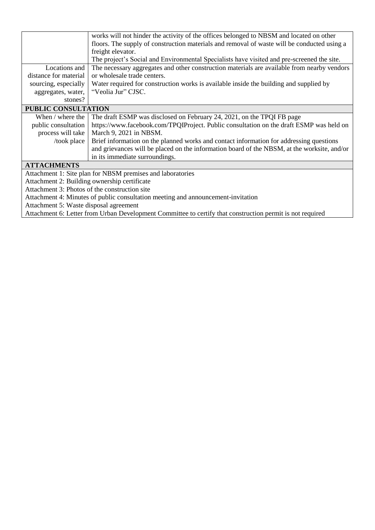|                                               | works will not hinder the activity of the offices belonged to NBSM and located on other                   |
|-----------------------------------------------|-----------------------------------------------------------------------------------------------------------|
|                                               | floors. The supply of construction materials and removal of waste will be conducted using a               |
|                                               | freight elevator.                                                                                         |
|                                               | The project's Social and Environmental Specialists have visited and pre-screened the site.                |
| Locations and                                 | The necessary aggregates and other construction materials are available from nearby vendors               |
| distance for material                         | or wholesale trade centers.                                                                               |
| sourcing, especially                          | Water required for construction works is available inside the building and supplied by                    |
| aggregates, water,                            | "Veolia Jur" CJSC.                                                                                        |
| stones?                                       |                                                                                                           |
| PUBLIC CONSULTATION                           |                                                                                                           |
| When / where the                              | The draft ESMP was disclosed on February 24, 2021, on the TPQI FB page                                    |
| public consultation                           | https://www.facebook.com/TPQIProject. Public consultation on the draft ESMP was held on                   |
| process will take                             | March 9, 2021 in NBSM.                                                                                    |
| /took place                                   | Brief information on the planned works and contact information for addressing questions                   |
|                                               | and grievances will be placed on the information board of the NBSM, at the worksite, and/or               |
|                                               | in its immediate surroundings.                                                                            |
| <b>ATTACHMENTS</b>                            |                                                                                                           |
|                                               | Attachment 1: Site plan for NBSM premises and laboratories                                                |
| Attachment 2: Building ownership certificate  |                                                                                                           |
| Attachment 3: Photos of the construction site |                                                                                                           |
|                                               | Attachment 4: Minutes of public consultation meeting and announcement-invitation                          |
| Attachment 5: Waste disposal agreement        |                                                                                                           |
|                                               | Attachment 6: Letter from Urban Development Committee to certify that construction permit is not required |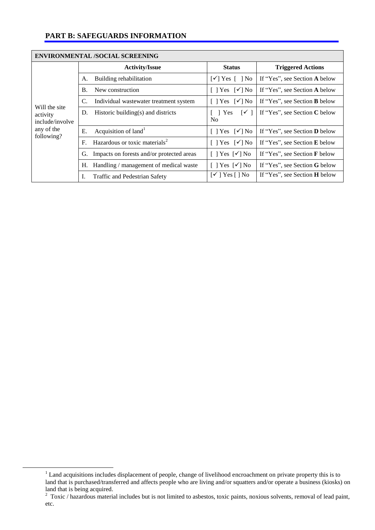## **PART B: SAFEGUARDS INFORMATION**

|                             | <b>ENVIRONMENTAL /SOCIAL SCREENING</b>                      |                                                         |                                      |
|-----------------------------|-------------------------------------------------------------|---------------------------------------------------------|--------------------------------------|
|                             | <b>Activity/Issue</b>                                       | <b>Status</b>                                           | <b>Triggered Actions</b>             |
|                             | Building rehabilitation<br>А.                               | $\lceil \checkmark \rceil$ Yes $\lceil \;\rceil$ No     | If "Yes", see Section A below        |
|                             | $\mathbf{B}$ .<br>New construction                          | $[$   Yes $\lceil \sqrt{\ } \rceil$ No                  | If "Yes", see Section A below        |
| Will the site               | C.<br>Individual wastewater treatment system                | $[$   Yes $\lceil \sqrt{\ } \rceil$ No                  | If "Yes", see Section <b>B</b> below |
| activity<br>include/involve | Historic building(s) and districts<br>D.                    | Yes<br>$\lceil \checkmark \rceil$<br>N <sub>0</sub>     | If "Yes", see Section C below        |
| any of the<br>following?    | Acquisition of land <sup>1</sup><br>Ε.                      | $[$   Yes $\lceil \sqrt{\ } \rceil$ No                  | If "Yes", see Section <b>D</b> below |
|                             | Hazardous or toxic materials <sup>2</sup><br>$\mathbf{F}$ . | [ ] Yes $[\checkmark]$ No                               | If "Yes", see Section E below        |
|                             | Impacts on forests and/or protected areas<br>G.             | $[$   Yes $\lceil \sqrt{\ } \rceil$ No                  | If "Yes", see Section F below        |
|                             | Handling / management of medical waste<br>Н.                | $[$   Yes $\lceil \sqrt{\ } \rceil$ No                  | If "Yes", see Section G below        |
|                             | Ι.<br>Traffic and Pedestrian Safety                         | $\lceil \checkmark \rceil$ Yes $\lceil \cdot \rceil$ No | If "Yes", see Section <b>H</b> below |

<u>.</u>

 $1$  Land acquisitions includes displacement of people, change of livelihood encroachment on private property this is to land that is purchased/transferred and affects people who are living and/or squatters and/or operate a business (kiosks) on land that is being acquired.<br><sup>2</sup> Toxic / hazardous material includes but is not limited to asbestos, toxic paints, noxious solvents, removal of lead paint,

etc.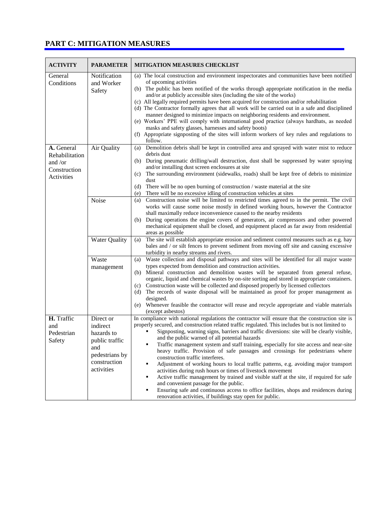## **PART C: MITIGATION MEASURES**

| <b>ACTIVITY</b>                                                       | <b>PARAMETER</b>                                                                                             | <b>MITIGATION MEASURES CHECKLIST</b>                                                                                                                                                                                                                                                                                                                                                                                                                                                                                                                                                                                                                                                                                                                                                                                                                                                                                                                                                                                                   |
|-----------------------------------------------------------------------|--------------------------------------------------------------------------------------------------------------|----------------------------------------------------------------------------------------------------------------------------------------------------------------------------------------------------------------------------------------------------------------------------------------------------------------------------------------------------------------------------------------------------------------------------------------------------------------------------------------------------------------------------------------------------------------------------------------------------------------------------------------------------------------------------------------------------------------------------------------------------------------------------------------------------------------------------------------------------------------------------------------------------------------------------------------------------------------------------------------------------------------------------------------|
| General<br>Conditions                                                 | Notification<br>and Worker<br>Safety                                                                         | (a) The local construction and environment inspectorates and communities have been notified<br>of upcoming activities<br>(b) The public has been notified of the works through appropriate notification in the media<br>and/or at publicly accessible sites (including the site of the works)<br>(c) All legally required permits have been acquired for construction and/or rehabilitation<br>(d) The Contractor formally agrees that all work will be carried out in a safe and disciplined<br>manner designed to minimize impacts on neighboring residents and environment.<br>(e) Workers' PPE will comply with international good practice (always hardhats, as needed<br>masks and safety glasses, harnesses and safety boots)<br>Appropriate signposting of the sites will inform workers of key rules and regulations to<br>(f)                                                                                                                                                                                                |
| A. General<br>Rehabilitation<br>and /or<br>Construction<br>Activities | Air Quality                                                                                                  | follow.<br>Demolition debris shall be kept in controlled area and sprayed with water mist to reduce<br>(a)<br>debris dust<br>During pneumatic drilling/wall destruction, dust shall be suppressed by water spraying<br>(b)<br>and/or installing dust screen enclosures at site<br>The surrounding environment (sidewalks, roads) shall be kept free of debris to minimize<br>(c)<br>dust<br>There will be no open burning of construction / waste material at the site<br>(d)<br>There will be no excessive idling of construction vehicles at sites<br>(e)                                                                                                                                                                                                                                                                                                                                                                                                                                                                            |
|                                                                       | Noise                                                                                                        | Construction noise will be limited to restricted times agreed to in the permit. The civil<br>(a)<br>works will cause some noise mostly in defined working hours, however the Contractor<br>shall maximally reduce inconvenience caused to the nearby residents<br>During operations the engine covers of generators, air compressors and other powered<br>(b)<br>mechanical equipment shall be closed, and equipment placed as far away from residential<br>areas as possible                                                                                                                                                                                                                                                                                                                                                                                                                                                                                                                                                          |
|                                                                       | Water Quality                                                                                                | The site will establish appropriate erosion and sediment control measures such as e.g. hay<br>(a)<br>bales and / or silt fences to prevent sediment from moving off site and causing excessive<br>turbidity in nearby streams and rivers.                                                                                                                                                                                                                                                                                                                                                                                                                                                                                                                                                                                                                                                                                                                                                                                              |
|                                                                       | Waste<br>management                                                                                          | Waste collection and disposal pathways and sites will be identified for all major waste<br>(a)<br>types expected from demolition and construction activities.<br>Mineral construction and demolition wastes will be separated from general refuse,<br>(b)<br>organic, liquid and chemical wastes by on-site sorting and stored in appropriate containers.<br>Construction waste will be collected and disposed properly by licensed collectors<br>(c)<br>(d) The records of waste disposal will be maintained as proof for proper management as<br>designed.<br>Whenever feasible the contractor will reuse and recycle appropriate and viable materials<br>(e)<br>(except asbestos)                                                                                                                                                                                                                                                                                                                                                   |
| H. Traffic<br>and<br>Pedestrian<br>Safety                             | Direct or<br>indirect<br>hazards to<br>public traffic<br>and<br>pedestrians by<br>construction<br>activities | In compliance with national regulations the contractor will ensure that the construction site is<br>properly secured, and construction related traffic regulated. This includes but is not limited to<br>Signposting, warning signs, barriers and traffic diversions: site will be clearly visible,<br>and the public warned of all potential hazards<br>Traffic management system and staff training, especially for site access and near-site<br>heavy traffic. Provision of safe passages and crossings for pedestrians where<br>construction traffic interferes.<br>Adjustment of working hours to local traffic patterns, e.g. avoiding major transport<br>٠<br>activities during rush hours or times of livestock movement<br>Active traffic management by trained and visible staff at the site, if required for safe<br>٠<br>and convenient passage for the public.<br>Ensuring safe and continuous access to office facilities, shops and residences during<br>٠<br>renovation activities, if buildings stay open for public. |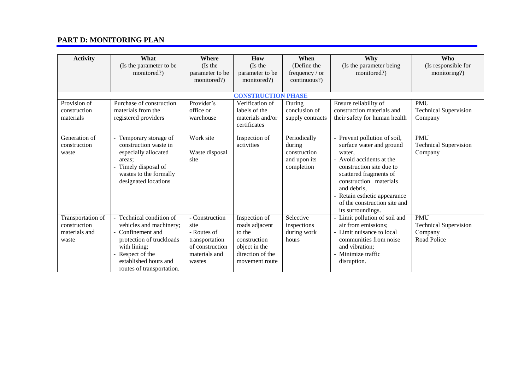## **PART D: MONITORING PLAN**

| <b>Activity</b>                                             | What<br>(Is the parameter to be<br>monitored?)                                                                                                                                           | Where<br>(Is the<br>parameter to be<br>monitored?)                                                    | How<br>(Is the<br>parameter to be<br>monitored?)                                                                 | When<br>(Define the<br>frequency / or<br>continuous?)                | Why<br>(Is the parameter being<br>monitored?)                                                                                                                                                                                                                                      | <b>Who</b><br>(Is responsible for<br>monitoring?)                    |  |
|-------------------------------------------------------------|------------------------------------------------------------------------------------------------------------------------------------------------------------------------------------------|-------------------------------------------------------------------------------------------------------|------------------------------------------------------------------------------------------------------------------|----------------------------------------------------------------------|------------------------------------------------------------------------------------------------------------------------------------------------------------------------------------------------------------------------------------------------------------------------------------|----------------------------------------------------------------------|--|
|                                                             |                                                                                                                                                                                          |                                                                                                       |                                                                                                                  |                                                                      |                                                                                                                                                                                                                                                                                    |                                                                      |  |
|                                                             | <b>CONSTRUCTION PHASE</b>                                                                                                                                                                |                                                                                                       |                                                                                                                  |                                                                      |                                                                                                                                                                                                                                                                                    |                                                                      |  |
| Provision of<br>construction<br>materials                   | Purchase of construction<br>materials from the<br>registered providers                                                                                                                   | Provider's<br>office or<br>warehouse                                                                  | Verification of<br>labels of the<br>materials and/or<br>certificates                                             | During<br>conclusion of<br>supply contracts                          | Ensure reliability of<br>construction materials and<br>their safety for human health                                                                                                                                                                                               | <b>PMU</b><br><b>Technical Supervision</b><br>Company                |  |
| Generation of<br>construction<br>waste                      | Temporary storage of<br>construction waste in<br>especially allocated<br>areas:<br>Timely disposal of<br>wastes to the formally<br>designated locations                                  | Work site<br>Waste disposal<br>site                                                                   | Inspection of<br>activities                                                                                      | Periodically<br>during<br>construction<br>and upon its<br>completion | - Prevent pollution of soil,<br>surface water and ground<br>water.<br>- Avoid accidents at the<br>construction site due to<br>scattered fragments of<br>construction materials<br>and debris.<br>- Retain esthetic appearance<br>of the construction site and<br>its surroundings. | <b>PMU</b><br><b>Technical Supervision</b><br>Company                |  |
| Transportation of<br>construction<br>materials and<br>waste | Technical condition of<br>vehicles and machinery;<br>Confinement and<br>protection of truckloads<br>with lining;<br>Respect of the<br>established hours and<br>routes of transportation. | - Construction<br>site<br>- Routes of<br>transportation<br>of construction<br>materials and<br>wastes | Inspection of<br>roads adjacent<br>to the<br>construction<br>object in the<br>direction of the<br>movement route | Selective<br>inspections<br>during work<br>hours                     | - Limit pollution of soil and<br>air from emissions;<br>- Limit nuisance to local<br>communities from noise<br>and vibration:<br>- Minimize traffic<br>disruption.                                                                                                                 | <b>PMU</b><br><b>Technical Supervision</b><br>Company<br>Road Police |  |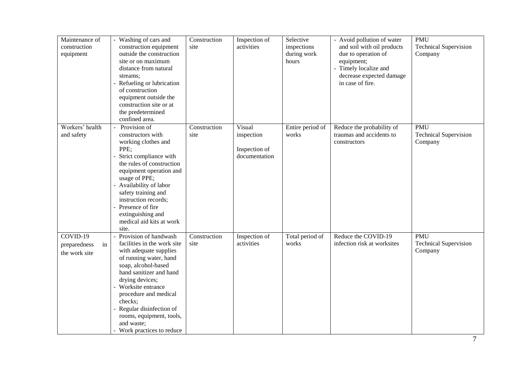| Maintenance of<br>construction<br>equipment       | - Washing of cars and<br>construction equipment<br>outside the construction<br>site or on maximum<br>distance from natural<br>streams;<br>Refueling or lubrication<br>of construction<br>equipment outside the<br>construction site or at<br>the predetermined<br>confined area.                                                          | Construction<br>site | Inspection of<br>activities                            | Selective<br>inspections<br>during work<br>hours | - Avoid pollution of water<br>and soil with oil products<br>due to operation of<br>equipment;<br>- Timely localize and<br>decrease expected damage<br>in case of fire. | <b>PMU</b><br><b>Technical Supervision</b><br>Company |
|---------------------------------------------------|-------------------------------------------------------------------------------------------------------------------------------------------------------------------------------------------------------------------------------------------------------------------------------------------------------------------------------------------|----------------------|--------------------------------------------------------|--------------------------------------------------|------------------------------------------------------------------------------------------------------------------------------------------------------------------------|-------------------------------------------------------|
| Workers' health<br>and safety                     | Provision of<br>constructors with<br>working clothes and<br>PPE;<br>Strict compliance with<br>the rules of construction<br>equipment operation and<br>usage of PPE;<br>- Availability of labor<br>safety training and<br>instruction records;<br>Presence of fire<br>extinguishing and<br>medical aid kits at work<br>site.               | Construction<br>site | Visual<br>inspection<br>Inspection of<br>documentation | Entire period of<br>works                        | Reduce the probability of<br>traumas and accidents to<br>constructors                                                                                                  | <b>PMU</b><br><b>Technical Supervision</b><br>Company |
| $COVID-19$<br>in<br>preparedness<br>the work site | Provision of handwash<br>facilities in the work site<br>with adequate supplies<br>of running water, hand<br>soap, alcohol-based<br>hand sanitizer and hand<br>drying devices;<br>Worksite entrance<br>procedure and medical<br>checks;<br>Regular disinfection of<br>rooms, equipment, tools,<br>and waste;<br>- Work practices to reduce | Construction<br>site | Inspection of<br>activities                            | Total period of<br>works                         | Reduce the COVID-19<br>infection risk at worksites                                                                                                                     | <b>PMU</b><br><b>Technical Supervision</b><br>Company |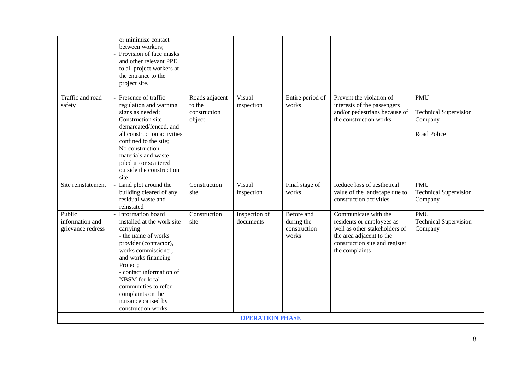|                                                | or minimize contact<br>between workers;<br>- Provision of face masks<br>and other relevant PPE<br>to all project workers at<br>the entrance to the<br>project site.                                                                                                                                            |                                                    |                            |                                                   |                                                                                                                                                                    |                                                                      |
|------------------------------------------------|----------------------------------------------------------------------------------------------------------------------------------------------------------------------------------------------------------------------------------------------------------------------------------------------------------------|----------------------------------------------------|----------------------------|---------------------------------------------------|--------------------------------------------------------------------------------------------------------------------------------------------------------------------|----------------------------------------------------------------------|
| Traffic and road<br>safety                     | Presence of traffic<br>regulation and warning<br>signs as needed;<br>Construction site<br>demarcated/fenced, and<br>all construction activities<br>confined to the site;<br>- No construction<br>materials and waste<br>piled up or scattered<br>outside the construction<br>site                              | Roads adjacent<br>to the<br>construction<br>object | Visual<br>inspection       | Entire period of<br>works                         | Prevent the violation of<br>interests of the passengers<br>and/or pedestrians because of<br>the construction works                                                 | <b>PMU</b><br><b>Technical Supervision</b><br>Company<br>Road Police |
| Site reinstatement                             | Land plot around the<br>building cleared of any<br>residual waste and<br>reinstated                                                                                                                                                                                                                            | Construction<br>site                               | Visual<br>inspection       | Final stage of<br>works                           | Reduce loss of aesthetical<br>value of the landscape due to<br>construction activities                                                                             | PMU<br><b>Technical Supervision</b><br>Company                       |
| Public<br>information and<br>grievance redress | Information board<br>installed at the work site<br>carrying:<br>- the name of works<br>provider (contractor),<br>works commissioner,<br>and works financing<br>Project;<br>- contact information of<br>NBSM for local<br>communities to refer<br>complaints on the<br>nuisance caused by<br>construction works | Construction<br>site                               | Inspection of<br>documents | Before and<br>during the<br>construction<br>works | Communicate with the<br>residents or employees as<br>well as other stakeholders of<br>the area adjacent to the<br>construction site and register<br>the complaints | <b>PMU</b><br><b>Technical Supervision</b><br>Company                |
|                                                |                                                                                                                                                                                                                                                                                                                |                                                    | <b>OPERATION PHASE</b>     |                                                   |                                                                                                                                                                    |                                                                      |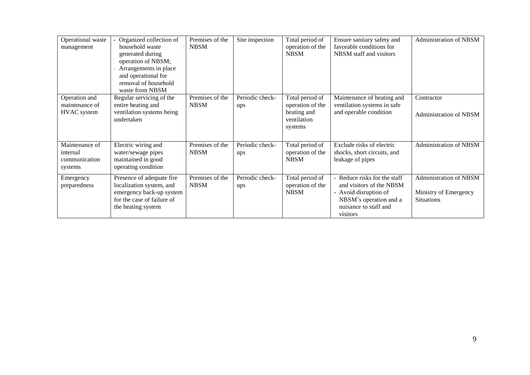| Operational waste<br>management                        | Organized collection of<br>household waste<br>generated during<br>operation of NBSM;<br>Arrangements in place<br>and operational for<br>removal of household<br>waste from NBSM | Premises of the<br><b>NBSM</b> | Site inspection        | Total period of<br>operation of the<br><b>NBSM</b>                           | Ensure sanitary safety and<br>favorable conditions for<br>NBSM staff and visitors                                                              | Administration of NBSM                                                      |
|--------------------------------------------------------|---------------------------------------------------------------------------------------------------------------------------------------------------------------------------------|--------------------------------|------------------------|------------------------------------------------------------------------------|------------------------------------------------------------------------------------------------------------------------------------------------|-----------------------------------------------------------------------------|
| Operation and<br>maintenance of<br><b>HVAC</b> system  | Regular servicing of the<br>entire heating and<br>ventilation systems being<br>undertaken                                                                                       | Premises of the<br><b>NBSM</b> | Periodic check-<br>ups | Total period of<br>operation of the<br>heating and<br>ventilation<br>systems | Maintenance of heating and<br>ventilation systems in safe<br>and operable condition                                                            | Contractor<br>Administration of NBSM                                        |
| Maintenance of<br>internal<br>communication<br>systems | Electric wiring and<br>water/sewage pipes<br>maintained in good<br>operating condition                                                                                          | Premises of the<br><b>NBSM</b> | Periodic check-<br>ups | Total period of<br>operation of the<br><b>NBSM</b>                           | Exclude risks of electric<br>shocks, short circuits, and<br>leakage of pipes                                                                   | <b>Administration of NBSM</b>                                               |
| Emergency<br>preparedness                              | Presence of adequate fire<br>localization system, and<br>emergency back-up system<br>for the case of failure of<br>the heating system                                           | Premises of the<br><b>NBSM</b> | Periodic check-<br>ups | Total period of<br>operation of the<br><b>NBSM</b>                           | Reduce risks for the staff<br>and visitors of the NBSM<br>- Avoid disruption of<br>NBSM's operation and a<br>nuisance to staff and<br>visitors | <b>Administration of NBSM</b><br>Ministry of Emergency<br><b>Situations</b> |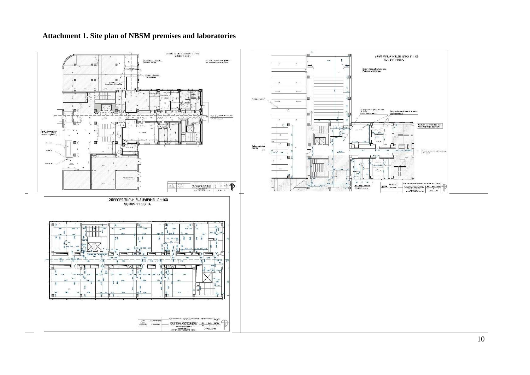

## **Attachment 1. Site plan of NBSM premises and laboratories**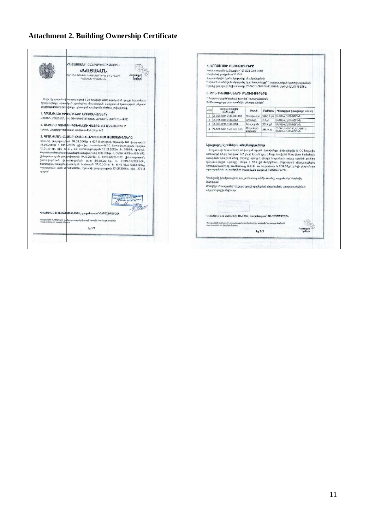# **Attachment 2. Building Ownership Certificate**

|         | ՀԱՅԱՍՏԱՆԻ ՀԱՆՐԱՊԵՏՈՒԹՑՈՒՆ<br><b>44U3U4UL</b><br>ՄՆԵՍՐԺ ԳՈՒՅՔԻ ՆԿԱՏՄԱՍԲ ԻՐԱՎՈՒՆՔՆԵՐԻ<br><b>Hanasupph</b><br><b>TILSUALIL ANIL SULL</b><br>lm Burk                                                                |                 |                  | 4. ՀՈՂԱՄԱՍԻ ԲՆՈՒԹԱԳՐԵՐԸ<br>1 κυγιωμαρωμα διαδίμωση σ1-003-0214-0140<br>Մակերեսի լավզը (has)* 0.1543<br>Նպատակային նշանակությունը՝ բեակավայրերի                              |                                |                 | Գործառնական Նշանակությունը կամ hողատեսքը՝ Հասարակական կառուցապատման<br>Գրանցված իրավունքի տեսակը՝ ԸՆԴՀԱՆՈՒՐ ԲԱԺՆԱՅԻՆ ՍԵՓԱԿԱՆՈՒԹՅՈՒՆ                                                                                                                                                                                                                                |
|---------|-----------------------------------------------------------------------------------------------------------------------------------------------------------------------------------------------------------------|-----------------|------------------|-----------------------------------------------------------------------------------------------------------------------------------------------------------------------------|--------------------------------|-----------------|--------------------------------------------------------------------------------------------------------------------------------------------------------------------------------------------------------------------------------------------------------------------------------------------------------------------------------------------------------------------|
|         | Սույն վկայականով իաստատվում է 26 hունիսի 2020 թվականին գույքի նկատմամբ<br>իրավունքների պետական գրանցման միասնական մատյանում կատարված անշարժ                                                                     |                 |                  | 5. ՇԻՆՈՒԹՅՈՒՆՆԵՐԻ ԲՆՈՒԹԱԳՐԵՐԸ<br>1) Նպատակային կշանակությունը՝ hասարակական<br>2) Phrapaugropp gium sunaubõbis situmsensübbnb <sup>3</sup>                                   |                                |                 |                                                                                                                                                                                                                                                                                                                                                                    |
|         | գույքի նկատմամբ իրավունքի պետական գրանցումը հետևյալ տվյալներով.<br>1. ԳՐԱՆՑՎԱԾ ԻՐԱՎՈՒՆՔԻ ՍՈՒԲՅԵԿՏ(ՆԵՐ)                                                                                                          | $_{\text{cyc}}$ |                  | <b><i><u>Insiguitimpumble</u></i></b><br><b><i><u>omothmethp</u></i></b>                                                                                                    | Shuudi                         | <b>Uuslbabu</b> | Գրանցված իրավունքի տեսակ                                                                                                                                                                                                                                                                                                                                           |
|         |                                                                                                                                                                                                                 |                 |                  | 01-003-0214-0140-001-001                                                                                                                                                    | Nuurhunnun                     |                 | 5780.7 of Ubdtl-triangener.                                                                                                                                                                                                                                                                                                                                        |
|         | ISLUATION THERMAN DIEDWISCHN HIS HIS IN UNISIDENTIAL                                                                                                                                                            |                 |                  | 2 01-003-0214-0140-002                                                                                                                                                      | Crywalagp                      | $7.2$ pd        | <b>ИБФЦЧЦЫ МЭВЛМ</b>                                                                                                                                                                                                                                                                                                                                               |
|         | 2. ԱՆՇԱՐԺ ԳՈՒՅՔԻ ԳՏՆՎԵԼՈՒ ՎԱՑՐԸ ԵՎ ԱՆՎԱՆՈՒՄԸ                                                                                                                                                                    |                 |                  | 3 01-003-0214-0140-003                                                                                                                                                      | dupupuh                        | 281.4 ml        | <b>UGGEINILITAGERAL</b>                                                                                                                                                                                                                                                                                                                                            |
|         | Երևան, Աբաթկիր Կոմիտասի պողոտա 49/4 շենք, ո. 2                                                                                                                                                                  |                 |                  | 01-003-0214-0140-001-003                                                                                                                                                    | Clinhulmin<br><i>unsumsump</i> | 268.9 pd        | CURLING PUBLISH<br><b>UbOLI-LILINGGINL</b>                                                                                                                                                                                                                                                                                                                         |
|         | ճարտարապետահատակագծային առաջադրանք 19.12.2014թ. h. 01/18-h-07/l-Ն-4604-872,<br>շինարարության թույլտվություն 04.11.2014թ. h. 01/18-61781-1167, շինարարության                                                     |                 |                  |                                                                                                                                                                             |                                |                 | օրենսգրքի 54-րդ իոդվածի 8.2 կետի հիման վրա և նույն եոդվածի 9-րդ կետի համաձայն                                                                                                                                                                                                                                                                                      |
| npremul | շահագործման փաստագրման ակտ 30.01.2015թ. h. 01/19-15/3929-31.<br>ճարտարապետաշինարարական նախագիծ 27,12,2014թ. h. 01/18-05/2-72252-1202.,<br>Փոխանցման ակտ 25/03/2020թ., Երևանի քաղաքապետի 17.06.2020թ. թիվ 1879-L |                 | <b>Uwnqujuki</b> | օգտագործման տվտածքների նկատմամբ կազմում է 60693/78778:<br>mundedn draught and brush                                                                                         |                                |                 | օտարման դեպքում ձեռք բերողը պետք է վճարի հողամասի տվյալ պահին գործող<br>կադաստրային փրժեքը։ Առկա է 82.2 քմ մակերեսով ինքնակամ շինություններ։<br>Ubdiuluubwurhpng pud bbdwug 0.1543 hu hnqudwuh u 268.09gd zbbgh nonhuumn<br>Գրանցումը իրակսնացնող պաշտոնատար անձի անունը, ազգանունը՝ Վայերին։<br>Ջբաղեցրած պաշփոնը՝ Անշարժ գույքի գրանցման միասնական ստորարաժանման |
|         | <b>CHEATRA H SUSPENSEL</b><br>HALBING IN<br><b>PUNUHILE 485 SADE :</b><br>44USU4UL N 26062020-01-0265, qummburgun' QAPE3ZW9TCEA                                                                                 |                 |                  |                                                                                                                                                                             |                                |                 |                                                                                                                                                                                                                                                                                                                                                                    |
|         | innere aastese oor (verstel) is deelbaarin oorspreek (energ ) vermalikt heesterstad (makenda<br>meer aastese oor (verstel) is deelbaari                                                                         |                 |                  | 44LI3U4UL N 26062020-01-0265, quantumpum' QAPE3ZW9TCEA<br>Մասպարդոյի խմբությունը և վավերականոցվունը կարող է կտուգվել Կադաստրի կովիկմլի<br>www.o.consons.oro կայքէին վիջոցով |                                |                 |                                                                                                                                                                                                                                                                                                                                                                    |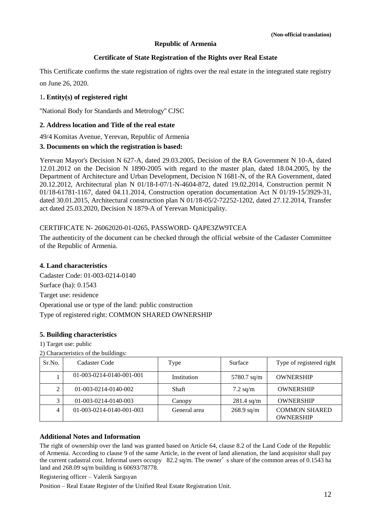#### **Republic of Armenia**

#### **Certificate of State Registration of the Rights over Real Estate**

This Certificate confirms the state registration of rights over the real estate in the integrated state registry

on June 26, 2020.

#### 1**. Entity(s) of registered right**

''National Body for Standards and Metrology'' CJSC

#### **2. Address location and Title of the real estate**

49/4 Komitas Avenue, Yerevan, Republic of Armenia

#### **3. Documents on which the registration is based:**

Yerevan Mayor's Decision N 627-A, dated 29.03.2005, Decision of the RA Government N 10-A, dated 12.01.2012 on the Decision N 1890-2005 with regard to the master plan, dated 18.04.2005, by the Department of Architecture and Urban Development, Decision N 1681-N, of the RA Government, dated 20.12.2012, Architectural plan N 01/18-I-07/1-N-4604-872, dated 19.02.2014, Construction permit N 01/18-61781-1167, dated 04.11.2014, Construction operation documentation Act N 01/19-15/3929-31, dated 30.01.2015, Architectural construction plan N 01/18-05/2-72252-1202, dated 27.12.2014, Transfer act dated 25.03.2020, Decision N 1879-A of Yerevan Municipality.

#### CERTIFICATE N- 26062020-01-0265, PASSWORD- QAPE3ZW9TCEA

The authenticity of the document can be checked through the official website of the Cadaster Committee of the Republic of Armenia.

### **4. Land characteristics**

Cadaster Code: 01-003-0214-0140 Surface (ha): 0.1543 Target use: residence Operational use or type of the land: public construction Type of registered right: COMMON SHARED OWNERSHIP

#### **5. Building characteristics**

1) Target use: public

2) Characteristics of the buildings:

| Sr.No. | Cadaster Code            | Type         | Surface      | Type of registered right                 |
|--------|--------------------------|--------------|--------------|------------------------------------------|
|        | 01-003-0214-0140-001-001 | Institution  | 5780.7 sq/m  | <b>OWNERSHIP</b>                         |
| 2      | 01-003-0214-0140-002     | <b>Shaft</b> | $7.2$ sq/m   | <b>OWNERSHIP</b>                         |
| 3      | 01-003-0214-0140-003     | Canopy       | $281.4$ sq/m | <b>OWNERSHIP</b>                         |
| 4      | 01-003-0214-0140-001-003 | General area | $268.9$ sq/m | <b>COMMON SHARED</b><br><b>OWNERSHIP</b> |

#### **Additional Notes and Information**

The right of ownership over the land was granted based on Article 64, clause 8.2 of the Land Code of the Republic of Armenia. According to clause 9 of the same Article, in the event of land alienation, the land acquisitor shall pay the current cadastral cost. Informal users occupy 82.2 sq/m. The owner's share of the common areas of 0.1543 ha land and 268.09 sq/m building is 60693/78778.

Registering officer – Valerik Sargsyan

Position – Real Estate Register of the Unified Real Estate Registration Unit.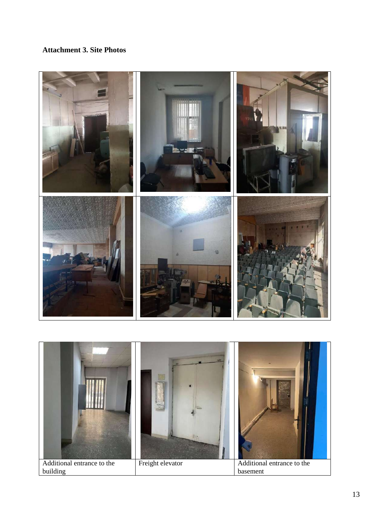## **Attachment 3. Site Photos**



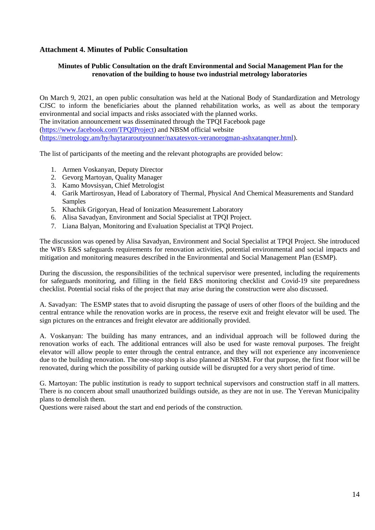### **Attachment 4. Minutes of Public Consultation**

### **Minutes of Public Consultation on the draft Environmental and Social Management Plan for the renovation of the building to house two industrial metrology laboratories**

On March 9, 2021, an open public consultation was held at the National Body of Standardization and Metrology CJSC to inform the beneficiaries about the planned rehabilitation works, as well as about the temporary environmental and social impacts and risks associated with the planned works. The invitation announcement was disseminated through the TPQI Facebook page [\(https://www.facebook.com/TPQIProject\)](https://www.facebook.com/TPQIProject) and NBSM official website [\(https://metrology.am/hy/haytararoutyounner/naxatesvox-veranorogman-ashxatanqner.html\)](https://metrology.am/hy/haytararoutyounner/naxatesvox-veranorogman-ashxatanqner.html).

The list of participants of the meeting and the relevant photographs are provided below:

- 1. Armen Voskanyan, Deputy Director
- 2. Gevorg Martoyan, Quality Manager
- 3. Kamo Movsisyan, Chief Metrologist
- 4. Garik Martirosyan, Head of Laboratory of Thermal, Physical And Chemical Measurements and Standard Samples
- 5. Khachik Grigoryan, Head of Ionization Measurement Laboratory
- 6. Alisa Savadyan, Environment and Social Specialist at TPQI Project.
- 7. Liana Balyan, Monitoring and Evaluation Specialist at TPQI Project.

The discussion was opened by Alisa Savadyan, Environment and Social Specialist at TPQI Project. She introduced the WB's E&S safeguards requirements for renovation activities, potential environmental and social impacts and mitigation and monitoring measures described in the Environmental and Social Management Plan (ESMP).

During the discussion, the responsibilities of the technical supervisor were presented, including the requirements for safeguards monitoring, and filling in the field E&S monitoring checklist and Covid-19 site preparedness checklist. Potential social risks of the project that may arise during the construction were also discussed.

A. Savadyan: The ESMP states that to avoid disrupting the passage of users of other floors of the building and the central entrance while the renovation works are in process, the reserve exit and freight elevator will be used. The sign pictures on the entrances and freight elevator are additionally provided.

A. Voskanyan: The building has many entrances, and an individual approach will be followed during the renovation works of each. The additional entrances will also be used for waste removal purposes. The freight elevator will allow people to enter through the central entrance, and they will not experience any inconvenience due to the building renovation. The one-stop shop is also planned at NBSM. For that purpose, the first floor will be renovated, during which the possibility of parking outside will be disrupted for a very short period of time.

G. Martoyan: The public institution is ready to support technical supervisors and construction staff in all matters. There is no concern about small unauthorized buildings outside, as they are not in use. The Yerevan Municipality plans to demolish them.

Questions were raised about the start and end periods of the construction.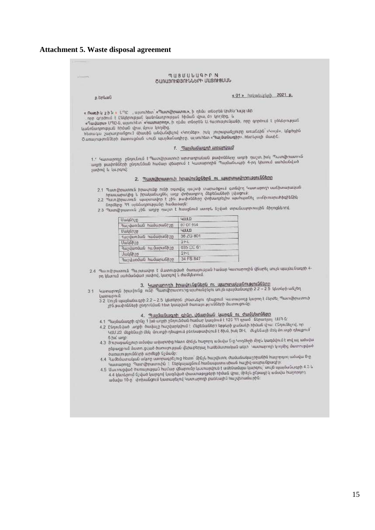# **Attachment 5. Waste disposal agreement**

|                                                                        | <b>MUSUULUARPN</b>                                                                                                                                        |
|------------------------------------------------------------------------|-----------------------------------------------------------------------------------------------------------------------------------------------------------|
|                                                                        | ԾԱՌԱՅՈՒԹՅՈՒՆՆԵՐԻ ՄԱՏՈՒՑՍԱՆ                                                                                                                                |
|                                                                        |                                                                                                                                                           |
|                                                                        | « 01 » hutunturtuh 2021 p.                                                                                                                                |
| p.bnl.uu                                                               |                                                                                                                                                           |
| « Ռադիկ շին » ՍՊԸ , այսուհետ «Պատվիրատու», ի դեմս տնօրեն կռնեն հայցակի |                                                                                                                                                           |
| որը գործում է Ընկերության կանոնադրության հիման վրա, մի կողծից, և       |                                                                                                                                                           |
|                                                                        | «Դավարս» ՍՊԸ-ն, այսուռետ՝ «Կատարող», ի դեմս տնօրեն Ա. Խորությունյանի, որը գործում է ընկերության                                                           |
| կանոնադրության հիման վրա, մյուս կողմից,                                | իետագա շարադրանքում միասին անվանվելով «Կողմեր» իսկ յուրաբանչյուրը առանձին՝ «Կողմ», կնքեցին                                                                |
|                                                                        | Ծառայությունների մատուցման սույն պայմանագիրը, այսուիետ «Պայմանագիր», իետեյալի մասին,                                                                      |
|                                                                        |                                                                                                                                                           |
|                                                                        | 1. Պայմանագրի առարկան                                                                                                                                     |
|                                                                        | 1.1 Կատարողը՝ ընդունում է Պատվիրատուի արտադրական թափոնները աղբի դաշտ, իսկ Պատվիրատուն                                                                     |
|                                                                        | ազբի թափոնների ընդունման համար վճարում է Կատարողին Պայմանագրի 4-րդ կետում սահմանված                                                                       |
| չափով և կարգով։                                                        |                                                                                                                                                           |
|                                                                        | 2. Պատվիրատուի իրավունքներն ու պարտավորությունները                                                                                                        |
|                                                                        | 2.1 Պատվիրատուն իրավունք ունի օգտվել դաշտի տարածքում գտնվող Կատարողի սանիտարական                                                                          |
| իրապարակից և իրականացնել աղբ փոխադրող մեբենաների լվացում։              |                                                                                                                                                           |
|                                                                        | 2,2 Պատվիրատուն՝ պարտավոր է շին, թափոնները փոխադրելիս պահպանել տանիտորահիգիննին                                                                           |
| նորմերը 33 օրենսդրությանը համաձայն։                                    | 2.3 Պատվիլատուն չին, ադբը դաշտ է հասցնում ստորև նշված տրանսպորտային ձիջոցներով,                                                                           |
|                                                                        |                                                                                                                                                           |
| Մակնիչը                                                                | <b>ULLD</b>                                                                                                                                               |
| Յաշվառման համարանիշը                                                   | 07 OT 914<br><b>YUUD</b>                                                                                                                                  |
| Մակնիշը<br>Դաշվառման համարանիշը                                        | 36 ZG 801                                                                                                                                                 |
| Մակնիշը                                                                | 2PL                                                                                                                                                       |
| Յաշվառման ոււմարանիշը                                                  | 035 CC 61                                                                                                                                                 |
| Մակնիշը                                                                | 2HL<br>34 FS 847                                                                                                                                          |
| Դաշվառման համարանիշը                                                   |                                                                                                                                                           |
|                                                                        | 2.4 Պատվիրատուն Պարտավոր է մատուցված ծառայության Իամար Կատարողին վճարել սույն պայմանագրի 4-                                                               |
| րդ կետում սահմանված չափով, կարգով և ժամկետում։                         |                                                                                                                                                           |
|                                                                        | 3. Կատարողի իրավունքներն ու պարտականությունները                                                                                                           |
| 31                                                                     | Կատարողն իրավունք ունի Պատվիրատուրց պահանջելու սույն պայմանագրի 22 - 25 կետերի անչեղ                                                                      |
| կատարում:                                                              | 3։2 Մույն պայմանագրի 2.2 – 2.5 կետերըն չինտեկու դեպքում Կատարողը կարող է մերժել Պատվիրատուի                                                               |
|                                                                        | շին թափոնների ընդունման հետ կապված ծառայությունների մատուցումը։                                                                                           |
|                                                                        | 4. Պայմանագրի գինը, վճարման կարգն ու ժամկետները                                                                                                           |
|                                                                        | 4.1 Պայմանագրի գոնը 1 խծ աղբի ընդունման համար կազմում է 125 77 դրամ ՝ ներառյալ - ԱՄԴ ն։                                                                   |
|                                                                        | 4.2 Ընդունված ադբի ծավալը հաշվարկվում է մեքենաների երթերի քանակի հիման վրա։ Ընդունելով, որ                                                                |
|                                                                        | ԿԱՄԱՉ մեքենայի մեկ՝ մուտքի դեպքում բեռնաթափվում է 8խմ, իսկ ՁԻԼ - մեքենայի մեկ մուտքի դեպքում՝                                                             |
| 5 fuč wnp                                                              | 4.3. Յուրաքանչյուր ամսվա ավարտից հետո մինչև Խաջորդ ամսվա 5-ը Կողմերի միջև կազմվում է տվ ալ ամսվա                                                          |
|                                                                        | ընքացքում մատուցված ծառայության վերաբերյալ hամեմատական ակտ <sup>կ</sup> ատարողի կողմից մատուցված                                                          |
| ծառայությունների արժեքի նշմամբ։                                        | 4.4 - Դամեմատական ակտը ստորագրել ուց հետո` մինչև հաշվետու ժամանակաչրջանին հաշորդող ամսվա 8-ը                                                              |
|                                                                        | Կատարողը։ Պատվիրատուին է ներկայացնում համապատասխան հաշիվ ապրանքագիր։                                                                                      |
|                                                                        | 4.5 Մատուցված ծառայության համար վճարումը կատարվում է ամենամսյա կարգուլ` սույն պայմանագրի 4.3 և                                                            |
|                                                                        | 4.4 կետերում նշված կարգով կազմված փաստաթղթերի ոիման վրա, մինչև ընթացիկ ամսվա հաջորդող<br>ածսվա 10-ը` փոխանցում կատարելով Կատարողի բանկային հաշվեուտնարին։ |
|                                                                        |                                                                                                                                                           |
|                                                                        |                                                                                                                                                           |
|                                                                        |                                                                                                                                                           |
|                                                                        |                                                                                                                                                           |
|                                                                        |                                                                                                                                                           |
|                                                                        |                                                                                                                                                           |
|                                                                        |                                                                                                                                                           |
|                                                                        |                                                                                                                                                           |
|                                                                        |                                                                                                                                                           |
|                                                                        |                                                                                                                                                           |